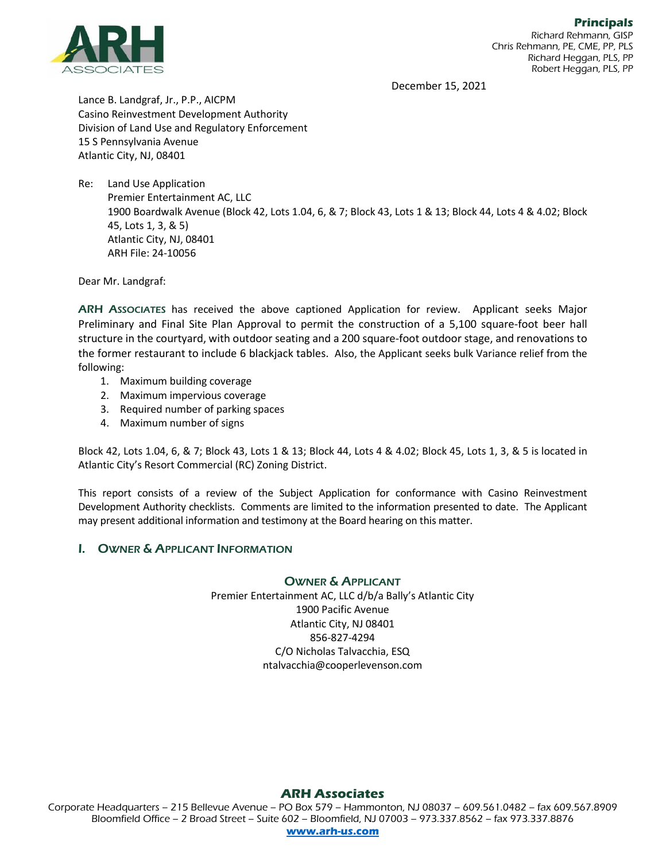

December 15, 2021

Lance B. Landgraf, Jr., P.P., AICPM Casino Reinvestment Development Authority Division of Land Use and Regulatory Enforcement 15 S Pennsylvania Avenue Atlantic City, NJ, 08401

Re: Land Use Application Premier Entertainment AC, LLC 1900 Boardwalk Avenue (Block 42, Lots 1.04, 6, & 7; Block 43, Lots 1 & 13; Block 44, Lots 4 & 4.02; Block 45, Lots 1, 3, & 5) Atlantic City, NJ, 08401 ARH File: 24-10056

Dear Mr. Landgraf:

ARH ASSOCIATES has received the above captioned Application for review. Applicant seeks Major Preliminary and Final Site Plan Approval to permit the construction of a 5,100 square-foot beer hall structure in the courtyard, with outdoor seating and a 200 square-foot outdoor stage, and renovations to the former restaurant to include 6 blackjack tables. Also, the Applicant seeks bulk Variance relief from the following:

- 1. Maximum building coverage
- 2. Maximum impervious coverage
- 3. Required number of parking spaces
- 4. Maximum number of signs

Block 42, Lots 1.04, 6, & 7; Block 43, Lots 1 & 13; Block 44, Lots 4 & 4.02; Block 45, Lots 1, 3, & 5 is located in Atlantic City's Resort Commercial (RC) Zoning District.

This report consists of a review of the Subject Application for conformance with Casino Reinvestment Development Authority checklists. Comments are limited to the information presented to date. The Applicant may present additional information and testimony at the Board hearing on this matter.

#### I. OWNER & APPLICANT INFORMATION

#### OWNER & APPLICANT

Premier Entertainment AC, LLC d/b/a Bally's Atlantic City 1900 Pacific Avenue Atlantic City, NJ 08401 856-827-4294 C/O Nicholas Talvacchia, ESQ ntalvacchia@cooperlevenson.com

### **ARH Associates**

Corporate Headquarters – 215 Bellevue Avenue – PO Box 579 – Hammonton, NJ 08037 – 609.561.0482 – fax 609.567.8909 Bloomfield Office – 2 Broad Street – Suite 602 – Bloomfield, NJ 07003 – 973.337.8562 – fax 973.337.8876 **[www.arh-us.com](http://www.arh-us.com/)**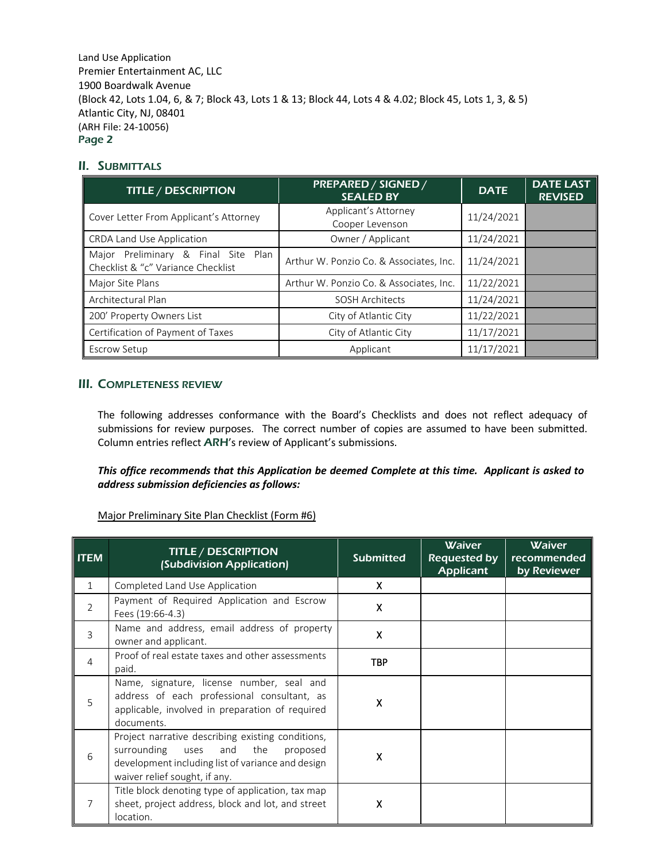## II. SUBMITTALS

| <b>TITLE / DESCRIPTION</b>                                                | PREPARED / SIGNED /<br><b>SEALED BY</b> | <b>DATE</b> | <b>DATE LAST</b><br><b>REVISED</b> |
|---------------------------------------------------------------------------|-----------------------------------------|-------------|------------------------------------|
| Cover Letter From Applicant's Attorney                                    | Applicant's Attorney<br>Cooper Levenson | 11/24/2021  |                                    |
| CRDA Land Use Application                                                 | Owner / Applicant                       | 11/24/2021  |                                    |
| Major Preliminary & Final Site Plan<br>Checklist & "c" Variance Checklist | Arthur W. Ponzio Co. & Associates, Inc. | 11/24/2021  |                                    |
| Major Site Plans                                                          | Arthur W. Ponzio Co. & Associates, Inc. | 11/22/2021  |                                    |
| Architectural Plan                                                        | <b>SOSH Architects</b>                  | 11/24/2021  |                                    |
| 200' Property Owners List                                                 | City of Atlantic City                   | 11/22/2021  |                                    |
| Certification of Payment of Taxes                                         | City of Atlantic City                   | 11/17/2021  |                                    |
| Escrow Setup                                                              | Applicant                               | 11/17/2021  |                                    |

## III. COMPLETENESS REVIEW

The following addresses conformance with the Board's Checklists and does not reflect adequacy of submissions for review purposes. The correct number of copies are assumed to have been submitted. Column entries reflect ARH's review of Applicant's submissions.

### *This office recommends that this Application be deemed Complete at this time. Applicant is asked to address submission deficiencies as follows:*

Major Preliminary Site Plan Checklist (Form #6)

| <b>ITEM</b>  | <b>TITLE / DESCRIPTION</b><br>(Subdivision Application)                                                                                                                            | <b>Submitted</b> | <b>Waiver</b><br>Requested by<br><b>Applicant</b> | <b>Waiver</b><br>recommended<br>by Reviewer |
|--------------|------------------------------------------------------------------------------------------------------------------------------------------------------------------------------------|------------------|---------------------------------------------------|---------------------------------------------|
| $\mathbf{1}$ | Completed Land Use Application                                                                                                                                                     | X                |                                                   |                                             |
| 2            | Payment of Required Application and Escrow<br>Fees (19:66-4.3)                                                                                                                     | X                |                                                   |                                             |
| 3            | Name and address, email address of property<br>owner and applicant.                                                                                                                | X                |                                                   |                                             |
| 4            | Proof of real estate taxes and other assessments<br>paid.                                                                                                                          | <b>TBP</b>       |                                                   |                                             |
| 5            | Name, signature, license number, seal and<br>address of each professional consultant, as<br>applicable, involved in preparation of required<br>documents.                          | X                |                                                   |                                             |
| 6            | Project narrative describing existing conditions,<br>surrounding uses and<br>the<br>proposed<br>development including list of variance and design<br>waiver relief sought, if any. | x                |                                                   |                                             |
| 7            | Title block denoting type of application, tax map<br>sheet, project address, block and lot, and street<br>location.                                                                | X                |                                                   |                                             |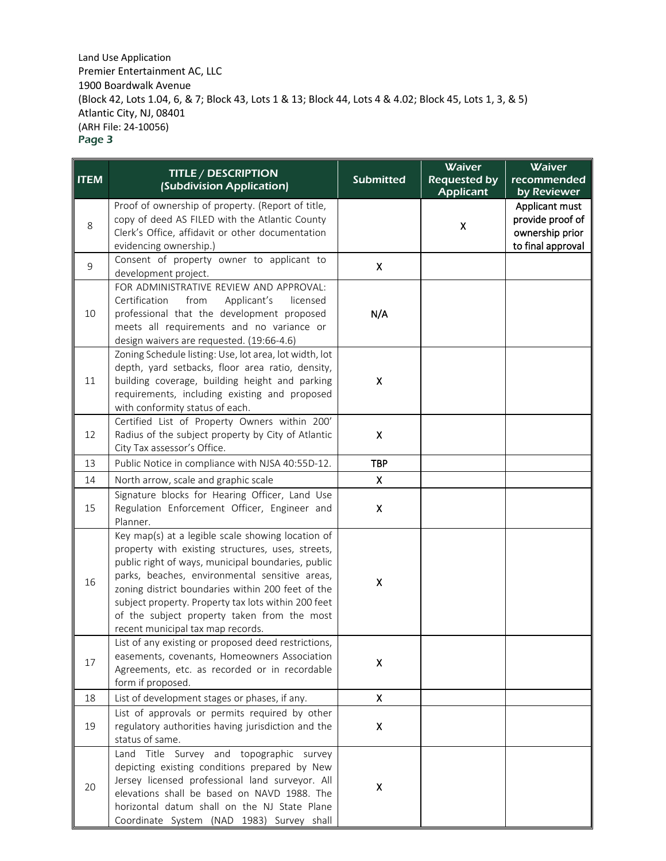| <b>ITEM</b> | <b>TITLE / DESCRIPTION</b><br>(Subdivision Application)                                                                                                                                                                                                                                                                                                                                                        | <b>Submitted</b>   | Waiver<br><b>Requested by</b><br><b>Applicant</b> | Waiver<br>recommended<br>by Reviewer                                       |
|-------------|----------------------------------------------------------------------------------------------------------------------------------------------------------------------------------------------------------------------------------------------------------------------------------------------------------------------------------------------------------------------------------------------------------------|--------------------|---------------------------------------------------|----------------------------------------------------------------------------|
| 8           | Proof of ownership of property. (Report of title,<br>copy of deed AS FILED with the Atlantic County<br>Clerk's Office, affidavit or other documentation<br>evidencing ownership.)                                                                                                                                                                                                                              |                    | Χ                                                 | Applicant must<br>provide proof of<br>ownership prior<br>to final approval |
| 9           | Consent of property owner to applicant to<br>development project.                                                                                                                                                                                                                                                                                                                                              | X                  |                                                   |                                                                            |
| 10          | FOR ADMINISTRATIVE REVIEW AND APPROVAL:<br>Certification<br>from<br>Applicant's<br>licensed<br>professional that the development proposed<br>meets all requirements and no variance or<br>design waivers are requested. (19:66-4.6)                                                                                                                                                                            | N/A                |                                                   |                                                                            |
| 11          | Zoning Schedule listing: Use, lot area, lot width, lot<br>depth, yard setbacks, floor area ratio, density,<br>building coverage, building height and parking<br>requirements, including existing and proposed<br>with conformity status of each.                                                                                                                                                               | X                  |                                                   |                                                                            |
| 12          | Certified List of Property Owners within 200'<br>Radius of the subject property by City of Atlantic<br>City Tax assessor's Office.                                                                                                                                                                                                                                                                             | Χ                  |                                                   |                                                                            |
| 13          | Public Notice in compliance with NJSA 40:55D-12.                                                                                                                                                                                                                                                                                                                                                               | <b>TBP</b>         |                                                   |                                                                            |
| 14          | North arrow, scale and graphic scale                                                                                                                                                                                                                                                                                                                                                                           | Χ                  |                                                   |                                                                            |
| 15          | Signature blocks for Hearing Officer, Land Use<br>Regulation Enforcement Officer, Engineer and<br>Planner.                                                                                                                                                                                                                                                                                                     | Χ                  |                                                   |                                                                            |
| 16          | Key map(s) at a legible scale showing location of<br>property with existing structures, uses, streets,<br>public right of ways, municipal boundaries, public<br>parks, beaches, environmental sensitive areas,<br>zoning district boundaries within 200 feet of the<br>subject property. Property tax lots within 200 feet<br>of the subject property taken from the most<br>recent municipal tax map records. | Χ                  |                                                   |                                                                            |
| 17          | List of any existing or proposed deed restrictions,<br>easements, covenants, Homeowners Association<br>Agreements, etc. as recorded or in recordable<br>form if proposed.                                                                                                                                                                                                                                      | $\pmb{\mathsf{X}}$ |                                                   |                                                                            |
| 18          | List of development stages or phases, if any.                                                                                                                                                                                                                                                                                                                                                                  | $\mathsf{X}$       |                                                   |                                                                            |
| 19          | List of approvals or permits required by other<br>regulatory authorities having jurisdiction and the<br>status of same.                                                                                                                                                                                                                                                                                        | X                  |                                                   |                                                                            |
| 20          | Land Title Survey and topographic survey<br>depicting existing conditions prepared by New<br>Jersey licensed professional land surveyor. All<br>elevations shall be based on NAVD 1988. The<br>horizontal datum shall on the NJ State Plane<br>Coordinate System (NAD 1983) Survey shall                                                                                                                       | Χ                  |                                                   |                                                                            |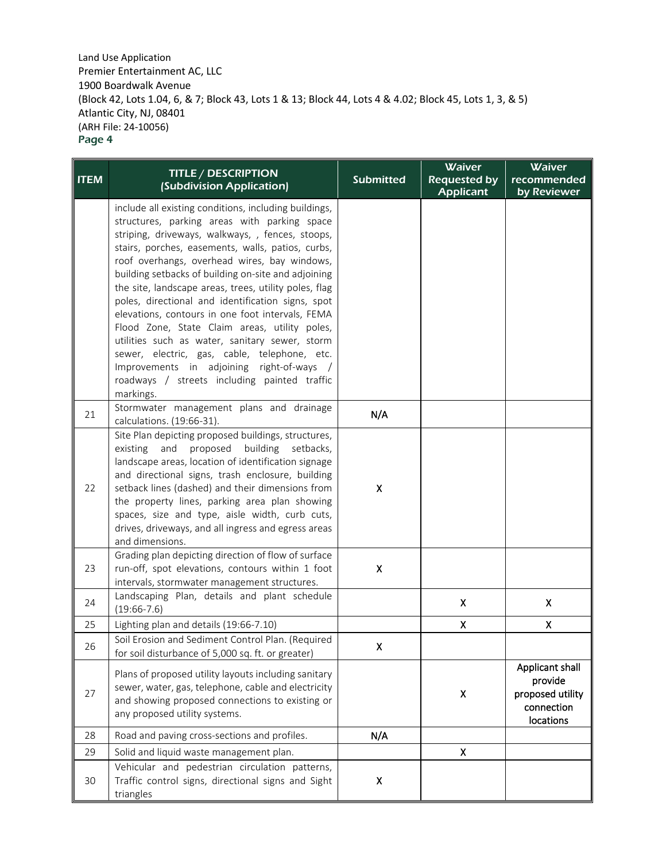| <b>ITEM</b> | <b>TITLE / DESCRIPTION</b>                                                                                                                                                                                                                                                                                                                                                                                                                                                                                                                                                                                                                                                                                                                           | <b>Submitted</b> | <b>Waiver</b><br><b>Requested by</b> | Waiver<br>recommended                                                     |
|-------------|------------------------------------------------------------------------------------------------------------------------------------------------------------------------------------------------------------------------------------------------------------------------------------------------------------------------------------------------------------------------------------------------------------------------------------------------------------------------------------------------------------------------------------------------------------------------------------------------------------------------------------------------------------------------------------------------------------------------------------------------------|------------------|--------------------------------------|---------------------------------------------------------------------------|
|             | (Subdivision Application)                                                                                                                                                                                                                                                                                                                                                                                                                                                                                                                                                                                                                                                                                                                            |                  | <b>Applicant</b>                     | by Reviewer                                                               |
|             | include all existing conditions, including buildings,<br>structures, parking areas with parking space<br>striping, driveways, walkways, , fences, stoops,<br>stairs, porches, easements, walls, patios, curbs,<br>roof overhangs, overhead wires, bay windows,<br>building setbacks of building on-site and adjoining<br>the site, landscape areas, trees, utility poles, flag<br>poles, directional and identification signs, spot<br>elevations, contours in one foot intervals, FEMA<br>Flood Zone, State Claim areas, utility poles,<br>utilities such as water, sanitary sewer, storm<br>sewer, electric, gas, cable, telephone, etc.<br>Improvements in adjoining right-of-ways /<br>roadways / streets including painted traffic<br>markings. |                  |                                      |                                                                           |
| 21          | Stormwater management plans and drainage<br>calculations. (19:66-31).                                                                                                                                                                                                                                                                                                                                                                                                                                                                                                                                                                                                                                                                                | N/A              |                                      |                                                                           |
| 22          | Site Plan depicting proposed buildings, structures,<br>proposed<br>building setbacks,<br>existing<br>and<br>landscape areas, location of identification signage<br>and directional signs, trash enclosure, building<br>setback lines (dashed) and their dimensions from<br>the property lines, parking area plan showing<br>spaces, size and type, aisle width, curb cuts,<br>drives, driveways, and all ingress and egress areas<br>and dimensions.<br>Grading plan depicting direction of flow of surface                                                                                                                                                                                                                                          | Χ                |                                      |                                                                           |
| 23          | run-off, spot elevations, contours within 1 foot<br>intervals, stormwater management structures.                                                                                                                                                                                                                                                                                                                                                                                                                                                                                                                                                                                                                                                     | X                |                                      |                                                                           |
| 24          | Landscaping Plan, details and plant schedule<br>$(19:66-7.6)$                                                                                                                                                                                                                                                                                                                                                                                                                                                                                                                                                                                                                                                                                        |                  | $\pmb{\mathsf{X}}$                   | $\mathsf{X}$                                                              |
| 25          | Lighting plan and details (19:66-7.10)                                                                                                                                                                                                                                                                                                                                                                                                                                                                                                                                                                                                                                                                                                               |                  | Χ                                    | Χ                                                                         |
| 26          | Soil Erosion and Sediment Control Plan. (Required<br>for soil disturbance of 5,000 sq. ft. or greater)                                                                                                                                                                                                                                                                                                                                                                                                                                                                                                                                                                                                                                               | X.               |                                      |                                                                           |
| 27          | Plans of proposed utility layouts including sanitary<br>sewer, water, gas, telephone, cable and electricity<br>and showing proposed connections to existing or<br>any proposed utility systems.                                                                                                                                                                                                                                                                                                                                                                                                                                                                                                                                                      |                  | Χ                                    | Applicant shall<br>provide<br>proposed utility<br>connection<br>locations |
| 28          | Road and paving cross-sections and profiles.                                                                                                                                                                                                                                                                                                                                                                                                                                                                                                                                                                                                                                                                                                         | N/A              |                                      |                                                                           |
| 29          | Solid and liquid waste management plan.                                                                                                                                                                                                                                                                                                                                                                                                                                                                                                                                                                                                                                                                                                              |                  | $\pmb{\mathsf{X}}$                   |                                                                           |
| 30          | Vehicular and pedestrian circulation patterns,<br>Traffic control signs, directional signs and Sight<br>triangles                                                                                                                                                                                                                                                                                                                                                                                                                                                                                                                                                                                                                                    | Χ                |                                      |                                                                           |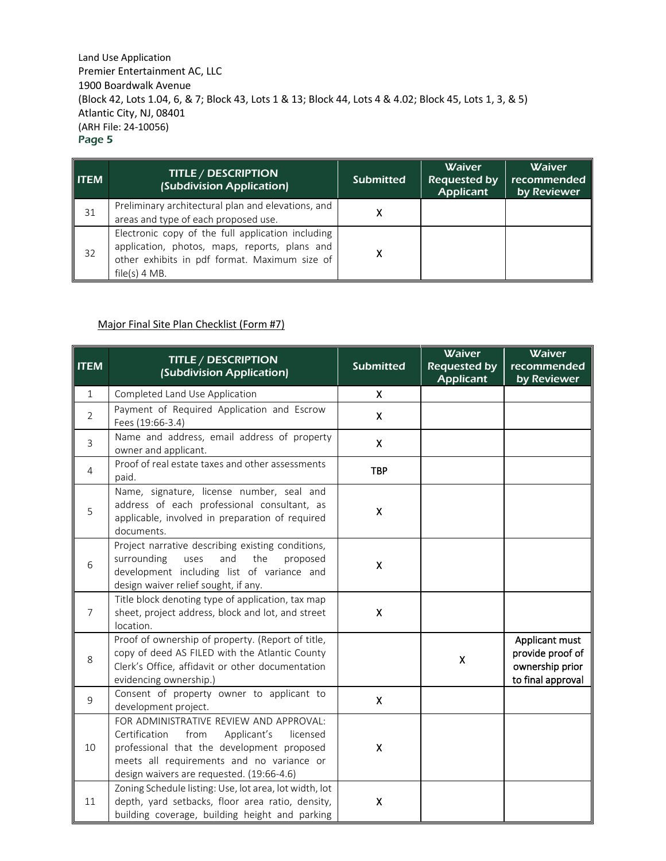| <b>ITEM</b> | <b>TITLE / DESCRIPTION</b><br>(Subdivision Application)                                                                                                                | <b>Submitted</b> | <b>Waiver</b><br><b>Requested by</b><br><b>Applicant</b> | <b>Waiver</b><br>recommended<br>by Reviewer |
|-------------|------------------------------------------------------------------------------------------------------------------------------------------------------------------------|------------------|----------------------------------------------------------|---------------------------------------------|
| 31          | Preliminary architectural plan and elevations, and<br>areas and type of each proposed use.                                                                             | x                |                                                          |                                             |
| 32          | Electronic copy of the full application including<br>application, photos, maps, reports, plans and<br>other exhibits in pdf format. Maximum size of<br>$file(s)$ 4 MB. | x                |                                                          |                                             |

# Major Final Site Plan Checklist (Form #7)

| <b>ITEM</b>    | <b>TITLE / DESCRIPTION</b><br>(Subdivision Application)                                                                                                                                                                             | <b>Submitted</b>   | Waiver<br><b>Requested by</b><br><b>Applicant</b> | Waiver<br>recommended<br>by Reviewer                                       |
|----------------|-------------------------------------------------------------------------------------------------------------------------------------------------------------------------------------------------------------------------------------|--------------------|---------------------------------------------------|----------------------------------------------------------------------------|
| $\mathbf{1}$   | Completed Land Use Application                                                                                                                                                                                                      | X.                 |                                                   |                                                                            |
| $\overline{2}$ | Payment of Required Application and Escrow<br>Fees (19:66-3.4)                                                                                                                                                                      | X                  |                                                   |                                                                            |
| 3              | Name and address, email address of property<br>owner and applicant.                                                                                                                                                                 | $\mathsf{X}$       |                                                   |                                                                            |
| $\overline{4}$ | Proof of real estate taxes and other assessments<br>paid.                                                                                                                                                                           | <b>TBP</b>         |                                                   |                                                                            |
| 5              | Name, signature, license number, seal and<br>address of each professional consultant, as<br>applicable, involved in preparation of required<br>documents.                                                                           | Χ                  |                                                   |                                                                            |
| 6              | Project narrative describing existing conditions,<br>surrounding<br>and<br>the<br>uses<br>proposed<br>development including list of variance and<br>design waiver relief sought, if any.                                            | $\pmb{\mathsf{X}}$ |                                                   |                                                                            |
| $\overline{7}$ | Title block denoting type of application, tax map<br>sheet, project address, block and lot, and street<br>location.                                                                                                                 | $\pmb{\mathsf{X}}$ |                                                   |                                                                            |
| 8              | Proof of ownership of property. (Report of title,<br>copy of deed AS FILED with the Atlantic County<br>Clerk's Office, affidavit or other documentation<br>evidencing ownership.)                                                   |                    | $\pmb{\mathsf{X}}$                                | Applicant must<br>provide proof of<br>ownership prior<br>to final approval |
| 9              | Consent of property owner to applicant to<br>development project.                                                                                                                                                                   | $\mathsf{X}$       |                                                   |                                                                            |
| 10             | FOR ADMINISTRATIVE REVIEW AND APPROVAL:<br>Certification<br>from<br>Applicant's<br>licensed<br>professional that the development proposed<br>meets all requirements and no variance or<br>design waivers are requested. (19:66-4.6) | Χ                  |                                                   |                                                                            |
| 11             | Zoning Schedule listing: Use, lot area, lot width, lot<br>depth, yard setbacks, floor area ratio, density,<br>building coverage, building height and parking                                                                        | X                  |                                                   |                                                                            |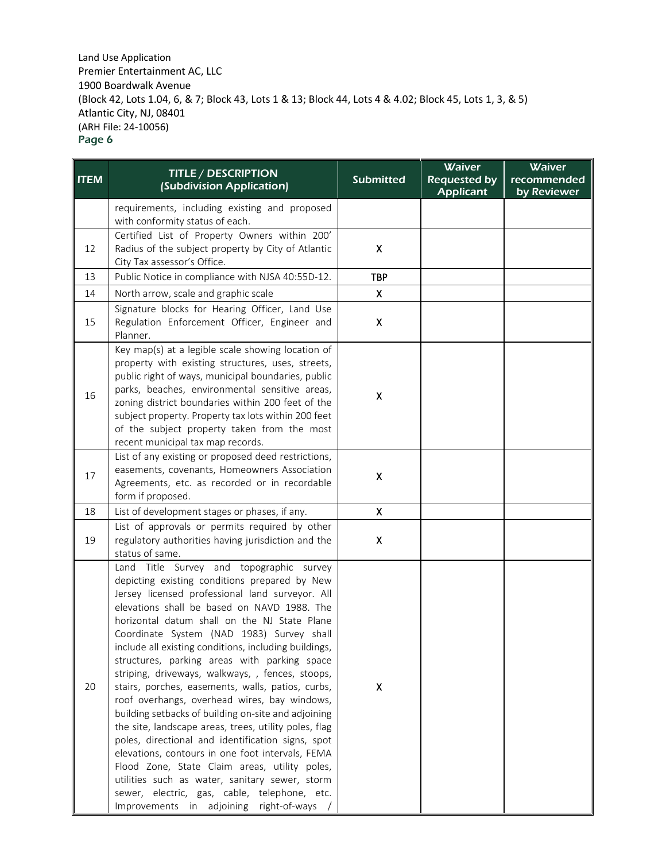| <b>ITEM</b> | <b>TITLE / DESCRIPTION</b>                                                                                                                                                                                                                                                                                                                                                                                                                                                                                                                                                                                                                                                                                                                                                                                                                                                                                                                                                        | <b>Submitted</b>          | <b>Waiver</b><br><b>Requested by</b> | <b>Waiver</b><br>recommended |
|-------------|-----------------------------------------------------------------------------------------------------------------------------------------------------------------------------------------------------------------------------------------------------------------------------------------------------------------------------------------------------------------------------------------------------------------------------------------------------------------------------------------------------------------------------------------------------------------------------------------------------------------------------------------------------------------------------------------------------------------------------------------------------------------------------------------------------------------------------------------------------------------------------------------------------------------------------------------------------------------------------------|---------------------------|--------------------------------------|------------------------------|
|             | (Subdivision Application)                                                                                                                                                                                                                                                                                                                                                                                                                                                                                                                                                                                                                                                                                                                                                                                                                                                                                                                                                         |                           | <b>Applicant</b>                     | by Reviewer                  |
|             | requirements, including existing and proposed<br>with conformity status of each.                                                                                                                                                                                                                                                                                                                                                                                                                                                                                                                                                                                                                                                                                                                                                                                                                                                                                                  |                           |                                      |                              |
| 12          | Certified List of Property Owners within 200'<br>Radius of the subject property by City of Atlantic<br>City Tax assessor's Office.                                                                                                                                                                                                                                                                                                                                                                                                                                                                                                                                                                                                                                                                                                                                                                                                                                                | $\boldsymbol{\mathsf{X}}$ |                                      |                              |
| 13          | Public Notice in compliance with NJSA 40:55D-12.                                                                                                                                                                                                                                                                                                                                                                                                                                                                                                                                                                                                                                                                                                                                                                                                                                                                                                                                  | <b>TBP</b>                |                                      |                              |
| 14          | North arrow, scale and graphic scale                                                                                                                                                                                                                                                                                                                                                                                                                                                                                                                                                                                                                                                                                                                                                                                                                                                                                                                                              | $\boldsymbol{\mathsf{X}}$ |                                      |                              |
| 15          | Signature blocks for Hearing Officer, Land Use<br>Regulation Enforcement Officer, Engineer and<br>Planner.                                                                                                                                                                                                                                                                                                                                                                                                                                                                                                                                                                                                                                                                                                                                                                                                                                                                        | $\pmb{\mathsf{X}}$        |                                      |                              |
| 16          | Key map(s) at a legible scale showing location of<br>property with existing structures, uses, streets,<br>public right of ways, municipal boundaries, public<br>parks, beaches, environmental sensitive areas,<br>zoning district boundaries within 200 feet of the<br>subject property. Property tax lots within 200 feet<br>of the subject property taken from the most<br>recent municipal tax map records.                                                                                                                                                                                                                                                                                                                                                                                                                                                                                                                                                                    | X                         |                                      |                              |
| 17          | List of any existing or proposed deed restrictions,<br>easements, covenants, Homeowners Association<br>Agreements, etc. as recorded or in recordable<br>form if proposed.                                                                                                                                                                                                                                                                                                                                                                                                                                                                                                                                                                                                                                                                                                                                                                                                         | X                         |                                      |                              |
| 18          | List of development stages or phases, if any.                                                                                                                                                                                                                                                                                                                                                                                                                                                                                                                                                                                                                                                                                                                                                                                                                                                                                                                                     | $\mathsf{x}$              |                                      |                              |
| 19          | List of approvals or permits required by other<br>regulatory authorities having jurisdiction and the<br>status of same.                                                                                                                                                                                                                                                                                                                                                                                                                                                                                                                                                                                                                                                                                                                                                                                                                                                           | $\boldsymbol{\mathsf{x}}$ |                                      |                              |
| 20          | Land Title Survey and topographic survey<br>depicting existing conditions prepared by New<br>Jersey licensed professional land surveyor. All<br>elevations shall be based on NAVD 1988. The<br>horizontal datum shall on the NJ State Plane<br>Coordinate System (NAD 1983) Survey shall<br>include all existing conditions, including buildings,<br>structures, parking areas with parking space<br>striping, driveways, walkways, , fences, stoops,<br>stairs, porches, easements, walls, patios, curbs,<br>roof overhangs, overhead wires, bay windows,<br>building setbacks of building on-site and adjoining<br>the site, landscape areas, trees, utility poles, flag<br>poles, directional and identification signs, spot<br>elevations, contours in one foot intervals, FEMA<br>Flood Zone, State Claim areas, utility poles,<br>utilities such as water, sanitary sewer, storm<br>sewer, electric, gas, cable, telephone, etc.<br>Improvements in adjoining right-of-ways | $\pmb{\mathsf{X}}$        |                                      |                              |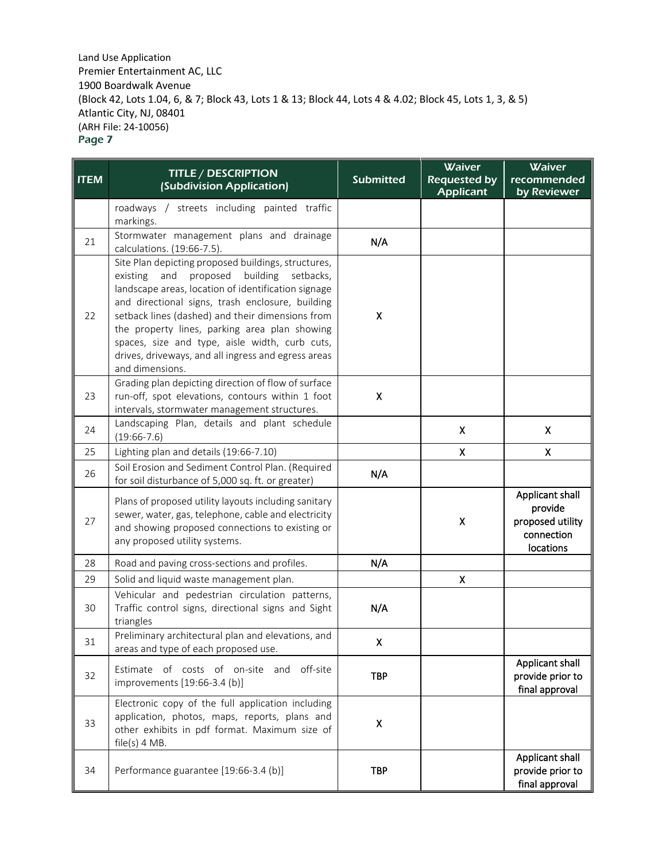| <b>ITEM</b> | <b>TITLE / DESCRIPTION</b><br>(Subdivision Application)                                                                                                                                                                                                                                                                                                                                                                                              | <b>Submitted</b> | <b>Waiver</b><br><b>Requested by</b><br><b>Applicant</b> | <b>Waiver</b><br>recommended<br>by Reviewer                               |
|-------------|------------------------------------------------------------------------------------------------------------------------------------------------------------------------------------------------------------------------------------------------------------------------------------------------------------------------------------------------------------------------------------------------------------------------------------------------------|------------------|----------------------------------------------------------|---------------------------------------------------------------------------|
|             | roadways / streets including painted traffic<br>markings.                                                                                                                                                                                                                                                                                                                                                                                            |                  |                                                          |                                                                           |
| 21          | Stormwater management plans and drainage<br>calculations. (19:66-7.5).                                                                                                                                                                                                                                                                                                                                                                               | N/A              |                                                          |                                                                           |
| 22          | Site Plan depicting proposed buildings, structures,<br>and<br>proposed<br>building setbacks,<br>existing<br>landscape areas, location of identification signage<br>and directional signs, trash enclosure, building<br>setback lines (dashed) and their dimensions from<br>the property lines, parking area plan showing<br>spaces, size and type, aisle width, curb cuts,<br>drives, driveways, and all ingress and egress areas<br>and dimensions. | X                |                                                          |                                                                           |
| 23          | Grading plan depicting direction of flow of surface<br>run-off, spot elevations, contours within 1 foot<br>intervals, stormwater management structures.                                                                                                                                                                                                                                                                                              | Χ                |                                                          |                                                                           |
| 24          | Landscaping Plan, details and plant schedule<br>$(19:66-7.6)$                                                                                                                                                                                                                                                                                                                                                                                        |                  | $\boldsymbol{\mathsf{X}}$                                | X                                                                         |
| 25          | Lighting plan and details (19:66-7.10)                                                                                                                                                                                                                                                                                                                                                                                                               |                  | X                                                        | $\pmb{\mathsf{X}}$                                                        |
| 26          | Soil Erosion and Sediment Control Plan. (Required<br>for soil disturbance of 5,000 sq. ft. or greater)                                                                                                                                                                                                                                                                                                                                               | N/A              |                                                          |                                                                           |
| 27          | Plans of proposed utility layouts including sanitary<br>sewer, water, gas, telephone, cable and electricity<br>and showing proposed connections to existing or<br>any proposed utility systems.                                                                                                                                                                                                                                                      |                  | Χ                                                        | Applicant shall<br>provide<br>proposed utility<br>connection<br>locations |
| 28          | Road and paving cross-sections and profiles.                                                                                                                                                                                                                                                                                                                                                                                                         | N/A              |                                                          |                                                                           |
| 29          | Solid and liquid waste management plan.                                                                                                                                                                                                                                                                                                                                                                                                              |                  | X                                                        |                                                                           |
| 30          | Vehicular and pedestrian circulation patterns,<br>Traffic control signs, directional signs and Sight<br>triangles                                                                                                                                                                                                                                                                                                                                    | N/A              |                                                          |                                                                           |
| 31          | Preliminary architectural plan and elevations, and<br>areas and type of each proposed use.                                                                                                                                                                                                                                                                                                                                                           | Χ                |                                                          |                                                                           |
| 32          | Estimate of costs of on-site and off-site<br>improvements [19:66-3.4 (b)]                                                                                                                                                                                                                                                                                                                                                                            | <b>TBP</b>       |                                                          | Applicant shall<br>provide prior to<br>final approval                     |
| 33          | Electronic copy of the full application including<br>application, photos, maps, reports, plans and<br>other exhibits in pdf format. Maximum size of<br>$file(s)$ 4 MB.                                                                                                                                                                                                                                                                               | Χ                |                                                          |                                                                           |
| 34          | Performance guarantee [19:66-3.4 (b)]                                                                                                                                                                                                                                                                                                                                                                                                                | <b>TBP</b>       |                                                          | Applicant shall<br>provide prior to<br>final approval                     |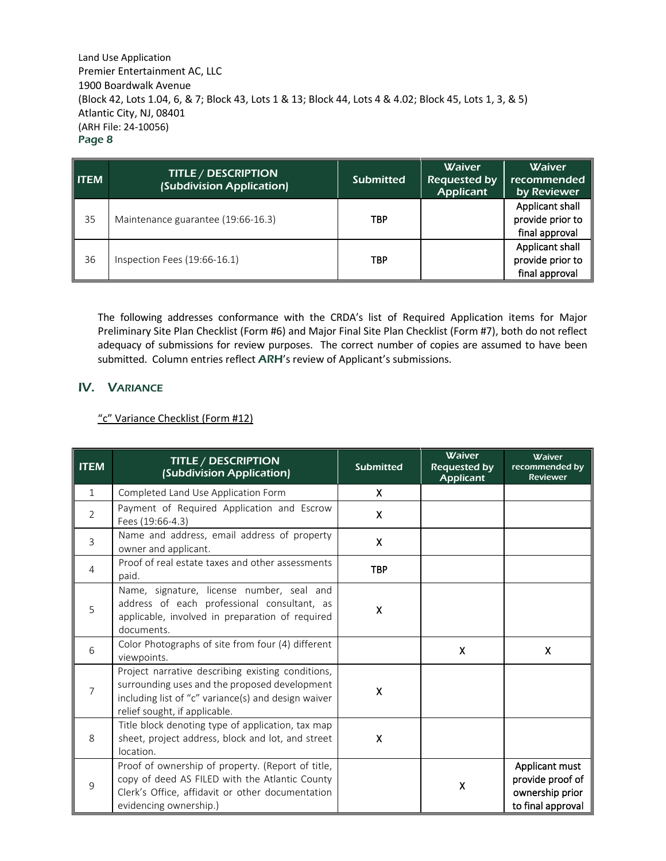| <b>ITEM</b> | <b>TITLE / DESCRIPTION</b><br>(Subdivision Application) | <b>Submitted</b> | <b>Waiver</b><br><b>Requested by</b><br><b>Applicant</b> | <b>Waiver</b><br>recommended<br>by Reviewer           |
|-------------|---------------------------------------------------------|------------------|----------------------------------------------------------|-------------------------------------------------------|
| 35          | Maintenance guarantee (19:66-16.3)                      | <b>TBP</b>       |                                                          | Applicant shall<br>provide prior to<br>final approval |
| 36          | Inspection Fees (19:66-16.1)                            | <b>TBP</b>       |                                                          | Applicant shall<br>provide prior to<br>final approval |

The following addresses conformance with the CRDA's list of Required Application items for Major Preliminary Site Plan Checklist (Form #6) and Major Final Site Plan Checklist (Form #7), both do not reflect adequacy of submissions for review purposes. The correct number of copies are assumed to have been submitted. Column entries reflect ARH's review of Applicant's submissions.

# IV. VARIANCE

### "c" Variance Checklist (Form #12)

| <b>ITEM</b>    | <b>TITLE / DESCRIPTION</b><br>(Subdivision Application)                                                                                                                                    | <b>Submitted</b>   | <b>Waiver</b><br><b>Requested by</b><br><b>Applicant</b> | Waiver<br>recommended by<br><b>Reviewer</b>                                |
|----------------|--------------------------------------------------------------------------------------------------------------------------------------------------------------------------------------------|--------------------|----------------------------------------------------------|----------------------------------------------------------------------------|
| $\mathbf{1}$   | Completed Land Use Application Form                                                                                                                                                        | X                  |                                                          |                                                                            |
| $\overline{2}$ | Payment of Required Application and Escrow<br>Fees (19:66-4.3)                                                                                                                             | $\mathsf{X}$       |                                                          |                                                                            |
| 3              | Name and address, email address of property<br>owner and applicant.                                                                                                                        | X                  |                                                          |                                                                            |
| $\overline{4}$ | Proof of real estate taxes and other assessments<br>paid.                                                                                                                                  | <b>TBP</b>         |                                                          |                                                                            |
| 5              | Name, signature, license number, seal and<br>address of each professional consultant, as<br>applicable, involved in preparation of required<br>documents.                                  | $\pmb{\mathsf{X}}$ |                                                          |                                                                            |
| 6              | Color Photographs of site from four (4) different<br>viewpoints.                                                                                                                           |                    | X                                                        | X                                                                          |
| $\overline{7}$ | Project narrative describing existing conditions,<br>surrounding uses and the proposed development<br>including list of "c" variance(s) and design waiver<br>relief sought, if applicable. | X                  |                                                          |                                                                            |
| 8              | Title block denoting type of application, tax map<br>sheet, project address, block and lot, and street<br>location.                                                                        | $\pmb{\mathsf{X}}$ |                                                          |                                                                            |
| 9              | Proof of ownership of property. (Report of title,<br>copy of deed AS FILED with the Atlantic County<br>Clerk's Office, affidavit or other documentation<br>evidencing ownership.)          |                    | X                                                        | Applicant must<br>provide proof of<br>ownership prior<br>to final approval |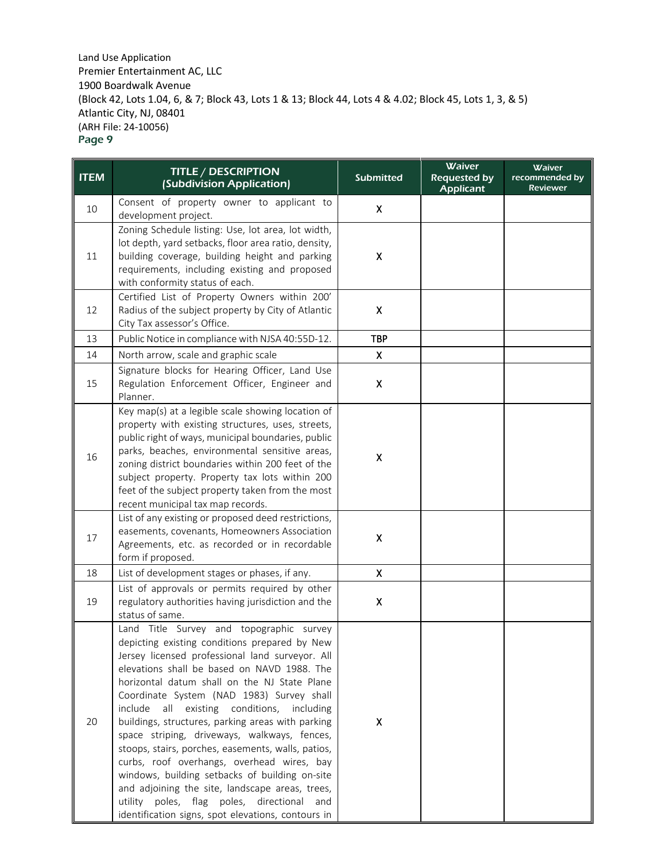| <b>ITEM</b> | <b>TITLE / DESCRIPTION</b><br>(Subdivision Application)                                                                                                                                                                                                                                                                                                                                                                                                                                                                                                                                                                                                                                                                                                     | <b>Submitted</b>          | Waiver<br><b>Requested by</b><br>Applicant | <b>Waiver</b><br>recommended by<br><b>Reviewer</b> |
|-------------|-------------------------------------------------------------------------------------------------------------------------------------------------------------------------------------------------------------------------------------------------------------------------------------------------------------------------------------------------------------------------------------------------------------------------------------------------------------------------------------------------------------------------------------------------------------------------------------------------------------------------------------------------------------------------------------------------------------------------------------------------------------|---------------------------|--------------------------------------------|----------------------------------------------------|
| 10          | Consent of property owner to applicant to<br>development project.                                                                                                                                                                                                                                                                                                                                                                                                                                                                                                                                                                                                                                                                                           | X                         |                                            |                                                    |
| 11          | Zoning Schedule listing: Use, lot area, lot width,<br>lot depth, yard setbacks, floor area ratio, density,<br>building coverage, building height and parking<br>requirements, including existing and proposed<br>with conformity status of each.                                                                                                                                                                                                                                                                                                                                                                                                                                                                                                            | Χ                         |                                            |                                                    |
| 12          | Certified List of Property Owners within 200'<br>Radius of the subject property by City of Atlantic<br>City Tax assessor's Office.                                                                                                                                                                                                                                                                                                                                                                                                                                                                                                                                                                                                                          | $\pmb{\mathsf{X}}$        |                                            |                                                    |
| 13          | Public Notice in compliance with NJSA 40:55D-12.                                                                                                                                                                                                                                                                                                                                                                                                                                                                                                                                                                                                                                                                                                            | <b>TBP</b>                |                                            |                                                    |
| 14          | North arrow, scale and graphic scale                                                                                                                                                                                                                                                                                                                                                                                                                                                                                                                                                                                                                                                                                                                        | $\boldsymbol{\mathsf{X}}$ |                                            |                                                    |
| 15          | Signature blocks for Hearing Officer, Land Use<br>Regulation Enforcement Officer, Engineer and<br>Planner.                                                                                                                                                                                                                                                                                                                                                                                                                                                                                                                                                                                                                                                  | X                         |                                            |                                                    |
| 16          | Key map(s) at a legible scale showing location of<br>property with existing structures, uses, streets,<br>public right of ways, municipal boundaries, public<br>parks, beaches, environmental sensitive areas,<br>zoning district boundaries within 200 feet of the<br>subject property. Property tax lots within 200<br>feet of the subject property taken from the most<br>recent municipal tax map records.                                                                                                                                                                                                                                                                                                                                              | Χ                         |                                            |                                                    |
| 17          | List of any existing or proposed deed restrictions,<br>easements, covenants, Homeowners Association<br>Agreements, etc. as recorded or in recordable<br>form if proposed.                                                                                                                                                                                                                                                                                                                                                                                                                                                                                                                                                                                   | $\pmb{\mathsf{X}}$        |                                            |                                                    |
| 18          | List of development stages or phases, if any.                                                                                                                                                                                                                                                                                                                                                                                                                                                                                                                                                                                                                                                                                                               | X.                        |                                            |                                                    |
| 19          | List of approvals or permits required by other<br>regulatory authorities having jurisdiction and the<br>status of same.                                                                                                                                                                                                                                                                                                                                                                                                                                                                                                                                                                                                                                     | $\pmb{\mathsf{X}}$        |                                            |                                                    |
| 20          | Land Title Survey and topographic survey<br>depicting existing conditions prepared by New<br>Jersey licensed professional land surveyor. All<br>elevations shall be based on NAVD 1988. The<br>horizontal datum shall on the NJ State Plane<br>Coordinate System (NAD 1983) Survey shall<br>all existing conditions, including<br>include<br>buildings, structures, parking areas with parking<br>space striping, driveways, walkways, fences,<br>stoops, stairs, porches, easements, walls, patios,<br>curbs, roof overhangs, overhead wires, bay<br>windows, building setbacks of building on-site<br>and adjoining the site, landscape areas, trees,<br>utility poles, flag poles, directional and<br>identification signs, spot elevations, contours in | $\pmb{\mathsf{X}}$        |                                            |                                                    |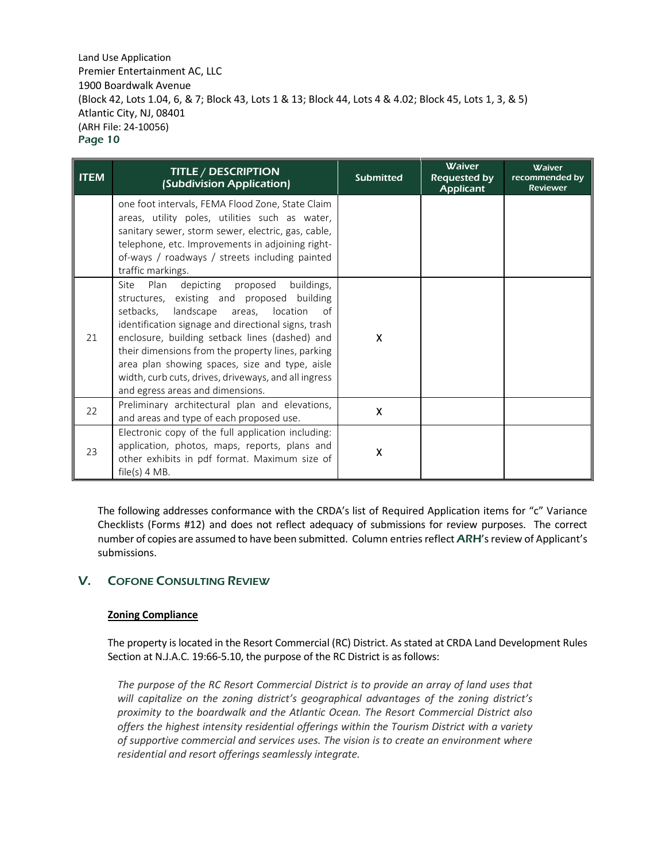| <b>ITEM</b> | <b>TITLE / DESCRIPTION</b><br>(Subdivision Application)                                                                                                                                                                                                                                                                                                                                                                                                       | <b>Submitted</b> | <b>Waiver</b><br><b>Requested by</b><br><b>Applicant</b> | <b>Waiver</b><br>recommended by<br><b>Reviewer</b> |
|-------------|---------------------------------------------------------------------------------------------------------------------------------------------------------------------------------------------------------------------------------------------------------------------------------------------------------------------------------------------------------------------------------------------------------------------------------------------------------------|------------------|----------------------------------------------------------|----------------------------------------------------|
|             | one foot intervals, FEMA Flood Zone, State Claim<br>areas, utility poles, utilities such as water,<br>sanitary sewer, storm sewer, electric, gas, cable,<br>telephone, etc. Improvements in adjoining right-<br>of-ways / roadways / streets including painted<br>traffic markings.                                                                                                                                                                           |                  |                                                          |                                                    |
| 21          | buildings,<br>Plan<br>depicting<br>proposed<br>Site<br>structures, existing and proposed building<br>setbacks,<br>landscape areas, location<br>of<br>identification signage and directional signs, trash<br>enclosure, building setback lines (dashed) and<br>their dimensions from the property lines, parking<br>area plan showing spaces, size and type, aisle<br>width, curb cuts, drives, driveways, and all ingress<br>and egress areas and dimensions. | X                |                                                          |                                                    |
| 22          | Preliminary architectural plan and elevations,<br>and areas and type of each proposed use.                                                                                                                                                                                                                                                                                                                                                                    | Χ                |                                                          |                                                    |
| 23          | Electronic copy of the full application including:<br>application, photos, maps, reports, plans and<br>other exhibits in pdf format. Maximum size of<br>$file(s)$ 4 MB.                                                                                                                                                                                                                                                                                       | Χ                |                                                          |                                                    |

The following addresses conformance with the CRDA's list of Required Application items for "c" Variance Checklists (Forms #12) and does not reflect adequacy of submissions for review purposes. The correct number of copies are assumed to have been submitted. Column entries reflect ARH's review of Applicant's submissions.

## V. COFONE CONSULTING REVIEW

### **Zoning Compliance**

The property is located in the Resort Commercial (RC) District. As stated at CRDA Land Development Rules Section at N.J.A.C. 19:66-5.10, the purpose of the RC District is as follows:

*The purpose of the RC Resort Commercial District is to provide an array of land uses that will capitalize on the zoning district's geographical advantages of the zoning district's proximity to the boardwalk and the Atlantic Ocean. The Resort Commercial District also offers the highest intensity residential offerings within the Tourism District with a variety of supportive commercial and services uses. The vision is to create an environment where residential and resort offerings seamlessly integrate.*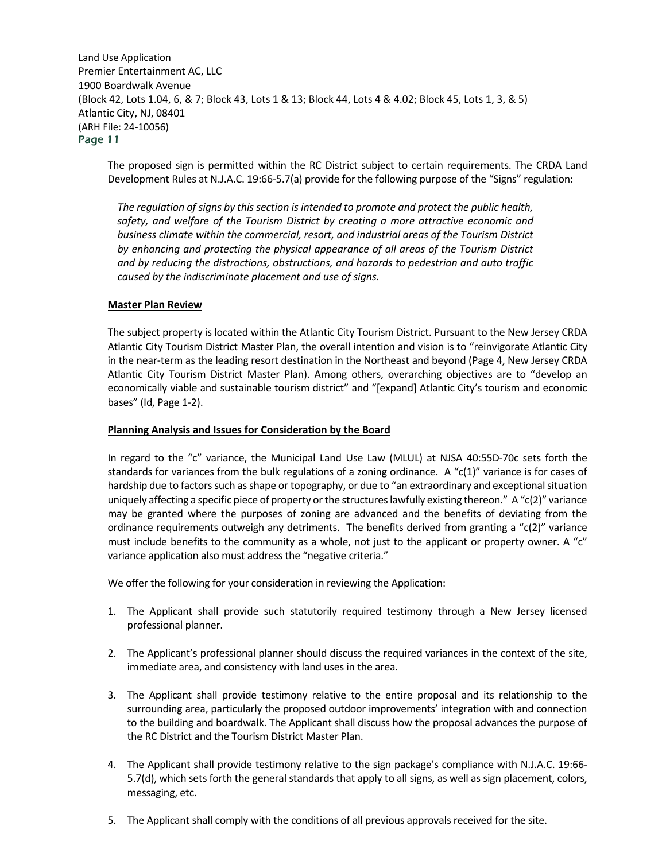The proposed sign is permitted within the RC District subject to certain requirements. The CRDA Land Development Rules at N.J.A.C. 19:66-5.7(a) provide for the following purpose of the "Signs" regulation:

*The regulation of signs by this section is intended to promote and protect the public health, safety, and welfare of the Tourism District by creating a more attractive economic and business climate within the commercial, resort, and industrial areas of the Tourism District by enhancing and protecting the physical appearance of all areas of the Tourism District and by reducing the distractions, obstructions, and hazards to pedestrian and auto traffic caused by the indiscriminate placement and use of signs.*

#### **Master Plan Review**

The subject property is located within the Atlantic City Tourism District. Pursuant to the New Jersey CRDA Atlantic City Tourism District Master Plan, the overall intention and vision is to "reinvigorate Atlantic City in the near-term as the leading resort destination in the Northeast and beyond (Page 4, New Jersey CRDA Atlantic City Tourism District Master Plan). Among others, overarching objectives are to "develop an economically viable and sustainable tourism district" and "[expand] Atlantic City's tourism and economic bases" (Id, Page 1-2).

#### **Planning Analysis and Issues for Consideration by the Board**

In regard to the "c" variance, the Municipal Land Use Law (MLUL) at NJSA 40:55D-70c sets forth the standards for variances from the bulk regulations of a zoning ordinance. A "c(1)" variance is for cases of hardship due to factors such as shape or topography, or due to "an extraordinary and exceptional situation uniquely affecting a specific piece of property or the structures lawfully existing thereon." A "c(2)" variance may be granted where the purposes of zoning are advanced and the benefits of deviating from the ordinance requirements outweigh any detriments. The benefits derived from granting a "c(2)" variance must include benefits to the community as a whole, not just to the applicant or property owner. A "c" variance application also must address the "negative criteria."

We offer the following for your consideration in reviewing the Application:

- 1. The Applicant shall provide such statutorily required testimony through a New Jersey licensed professional planner.
- 2. The Applicant's professional planner should discuss the required variances in the context of the site, immediate area, and consistency with land uses in the area.
- 3. The Applicant shall provide testimony relative to the entire proposal and its relationship to the surrounding area, particularly the proposed outdoor improvements' integration with and connection to the building and boardwalk. The Applicant shall discuss how the proposal advances the purpose of the RC District and the Tourism District Master Plan.
- 4. The Applicant shall provide testimony relative to the sign package's compliance with N.J.A.C. 19:66- 5.7(d), which sets forth the general standards that apply to all signs, as well as sign placement, colors, messaging, etc.
- 5. The Applicant shall comply with the conditions of all previous approvals received for the site.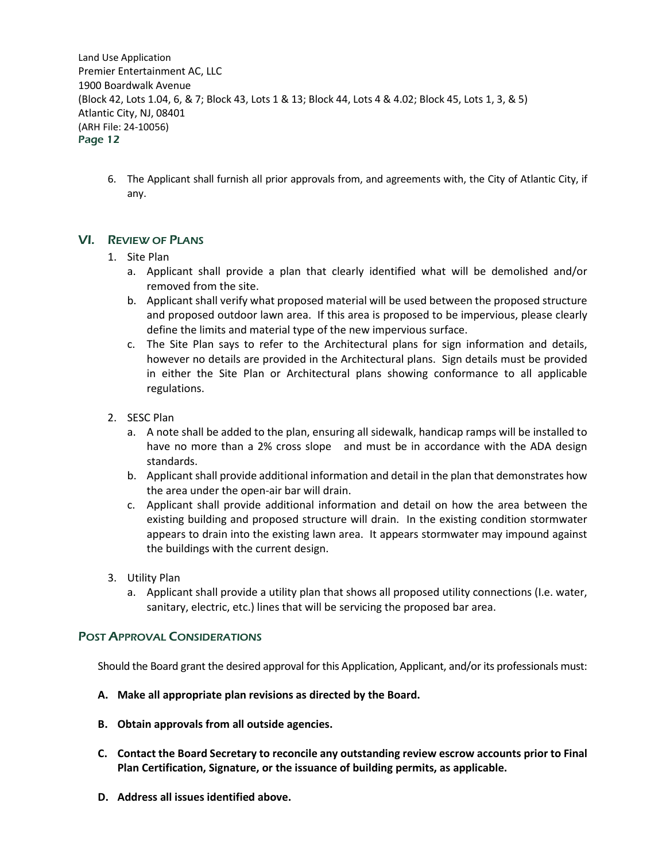6. The Applicant shall furnish all prior approvals from, and agreements with, the City of Atlantic City, if any.

# VI. REVIEW OF PLANS

## 1. Site Plan

- a. Applicant shall provide a plan that clearly identified what will be demolished and/or removed from the site.
- b. Applicant shall verify what proposed material will be used between the proposed structure and proposed outdoor lawn area. If this area is proposed to be impervious, please clearly define the limits and material type of the new impervious surface.
- c. The Site Plan says to refer to the Architectural plans for sign information and details, however no details are provided in the Architectural plans. Sign details must be provided in either the Site Plan or Architectural plans showing conformance to all applicable regulations.
- 2. SESC Plan
	- a. A note shall be added to the plan, ensuring all sidewalk, handicap ramps will be installed to have no more than a 2% cross slope and must be in accordance with the ADA design standards.
	- b. Applicant shall provide additional information and detail in the plan that demonstrates how the area under the open-air bar will drain.
	- c. Applicant shall provide additional information and detail on how the area between the existing building and proposed structure will drain. In the existing condition stormwater appears to drain into the existing lawn area. It appears stormwater may impound against the buildings with the current design.
- 3. Utility Plan
	- a. Applicant shall provide a utility plan that shows all proposed utility connections (I.e. water, sanitary, electric, etc.) lines that will be servicing the proposed bar area.

## POST APPROVAL CONSIDERATIONS

Should the Board grant the desired approval for this Application, Applicant, and/or its professionals must:

- **A. Make all appropriate plan revisions as directed by the Board.**
- **B. Obtain approvals from all outside agencies.**
- **C. Contact the Board Secretary to reconcile any outstanding review escrow accounts prior to Final Plan Certification, Signature, or the issuance of building permits, as applicable.**
- **D. Address all issues identified above.**